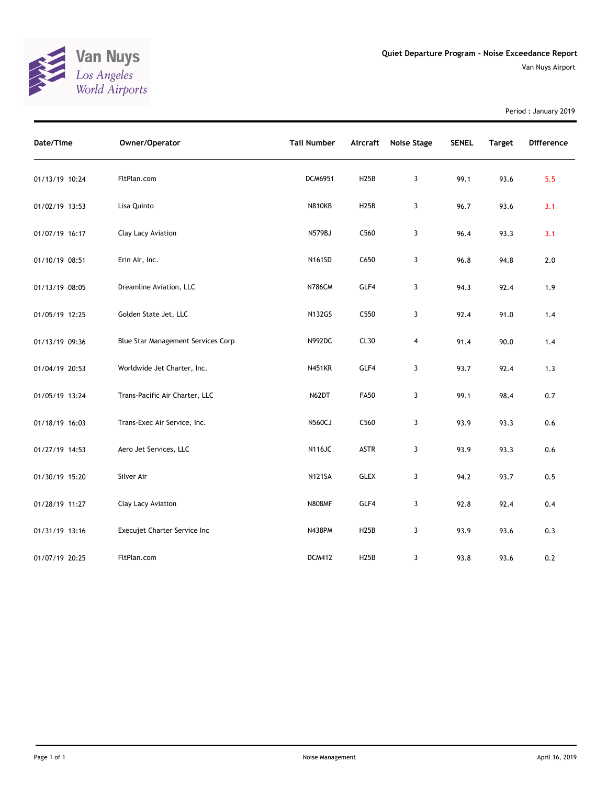

Period : January 2019

| Date/Time      | Owner/Operator                     | <b>Tail Number</b> | Aircraft    | <b>Noise Stage</b> | <b>SENEL</b> | <b>Target</b> | Difference |
|----------------|------------------------------------|--------------------|-------------|--------------------|--------------|---------------|------------|
| 01/13/19 10:24 | FltPlan.com                        | DCM6951            | H25B        | 3                  | 99.1         | 93.6          | 5.5        |
| 01/02/19 13:53 | Lisa Quinto                        | <b>N810KB</b>      | H25B        | 3                  | 96.7         | 93.6          | 3.1        |
| 01/07/19 16:17 | Clay Lacy Aviation                 | N579BJ             | C560        | 3                  | 96.4         | 93.3          | 3.1        |
| 01/10/19 08:51 | Erin Air, Inc.                     | N161SD             | C650        | $\mathbf{3}$       | 96.8         | 94.8          | 2.0        |
| 01/13/19 08:05 | Dreamline Aviation, LLC            | <b>N786CM</b>      | GLF4        | 3                  | 94.3         | 92.4          | 1.9        |
| 01/05/19 12:25 | Golden State Jet, LLC              | <b>N132GS</b>      | C550        | 3                  | 92.4         | 91.0          | 1.4        |
| 01/13/19 09:36 | Blue Star Management Services Corp | N992DC             | CL30        | $\overline{4}$     | 91.4         | 90.0          | 1.4        |
| 01/04/19 20:53 | Worldwide Jet Charter, Inc.        | <b>N451KR</b>      | GLF4        | 3                  | 93.7         | 92.4          | 1.3        |
| 01/05/19 13:24 | Trans-Pacific Air Charter, LLC     | N62DT              | <b>FA50</b> | 3                  | 99.1         | 98.4          | 0.7        |
| 01/18/19 16:03 | Trans-Exec Air Service, Inc.       | <b>N560CJ</b>      | C560        | 3                  | 93.9         | 93.3          | 0.6        |
| 01/27/19 14:53 | Aero Jet Services, LLC             | <b>N116JC</b>      | ASTR        | 3                  | 93.9         | 93.3          | 0.6        |
| 01/30/19 15:20 | Silver Air                         | <b>N121SA</b>      | <b>GLEX</b> | 3                  | 94.2         | 93.7          | 0.5        |
| 01/28/19 11:27 | Clay Lacy Aviation                 | <b>N808MF</b>      | GLF4        | 3                  | 92.8         | 92.4          | 0.4        |
| 01/31/19 13:16 | Execujet Charter Service Inc       | <b>N438PM</b>      | H25B        | 3                  | 93.9         | 93.6          | 0.3        |
| 01/07/19 20:25 | FltPlan.com                        | <b>DCM412</b>      | H25B        | 3                  | 93.8         | 93.6          | 0.2        |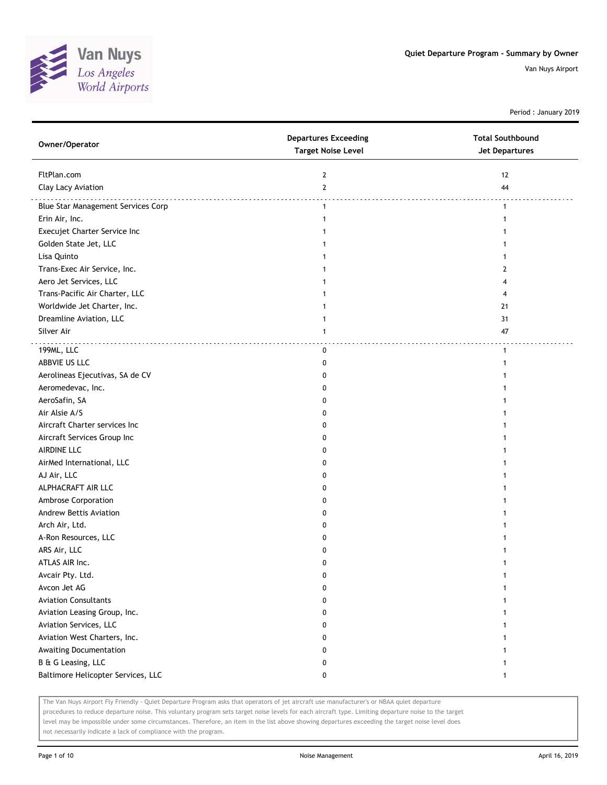

Period : January 2019

| Owner/Operator                     | <b>Departures Exceeding</b><br><b>Target Noise Level</b> | <b>Total Southbound</b><br>Jet Departures |
|------------------------------------|----------------------------------------------------------|-------------------------------------------|
| FltPlan.com                        | 2                                                        | 12                                        |
| Clay Lacy Aviation                 | $\mathbf{2}$                                             | 44                                        |
| Blue Star Management Services Corp | $\mathbf{1}$                                             | $\mathbf{1}$                              |
| Erin Air, Inc.                     | 1                                                        | 1                                         |
| Execujet Charter Service Inc       | 1                                                        | 1                                         |
| Golden State Jet, LLC              | 1                                                        |                                           |
| Lisa Quinto                        |                                                          |                                           |
| Trans-Exec Air Service, Inc.       |                                                          | 2                                         |
| Aero Jet Services, LLC             |                                                          |                                           |
| Trans-Pacific Air Charter, LLC     |                                                          |                                           |
| Worldwide Jet Charter, Inc.        |                                                          | 21                                        |
| Dreamline Aviation, LLC            |                                                          | 31                                        |
| Silver Air                         | 1                                                        | 47                                        |
| 199ML, LLC                         | 0                                                        | $\mathbf{1}$                              |
| ABBVIE US LLC                      | 0                                                        | 1                                         |
| Aerolineas Ejecutivas, SA de CV    | 0                                                        |                                           |
| Aeromedevac, Inc.                  | 0                                                        |                                           |
| AeroSafin, SA                      | 0                                                        |                                           |
| Air Alsie A/S                      | 0                                                        |                                           |
| Aircraft Charter services Inc      | 0                                                        |                                           |
| Aircraft Services Group Inc        | 0                                                        |                                           |
| AIRDINE LLC                        | 0                                                        |                                           |
| AirMed International, LLC          | 0                                                        |                                           |
| AJ Air, LLC                        | 0                                                        |                                           |
| ALPHACRAFT AIR LLC                 | 0                                                        |                                           |
| Ambrose Corporation                | 0                                                        |                                           |
| Andrew Bettis Aviation             | 0                                                        |                                           |
| Arch Air, Ltd.                     | 0                                                        |                                           |
| A-Ron Resources, LLC               | 0                                                        |                                           |
| ARS Air, LLC                       | 0                                                        |                                           |
| ATLAS AIR Inc.                     | 0                                                        |                                           |
| Avcair Pty. Ltd.                   | 0                                                        | 1                                         |
| Avcon Jet AG                       | 0                                                        | 1                                         |
| <b>Aviation Consultants</b>        | 0                                                        | 1                                         |
| Aviation Leasing Group, Inc.       | 0                                                        | 1                                         |
| Aviation Services, LLC             | 0                                                        |                                           |
| Aviation West Charters, Inc.       | 0                                                        |                                           |
| Awaiting Documentation             | 0                                                        |                                           |
| B & G Leasing, LLC                 | 0                                                        |                                           |
| Baltimore Helicopter Services, LLC | 0                                                        | 1                                         |

The Van Nuys Airport Fly Friendly - Quiet Departure Program asks that operators of jet aircraft use manufacturer's or NBAA quiet departure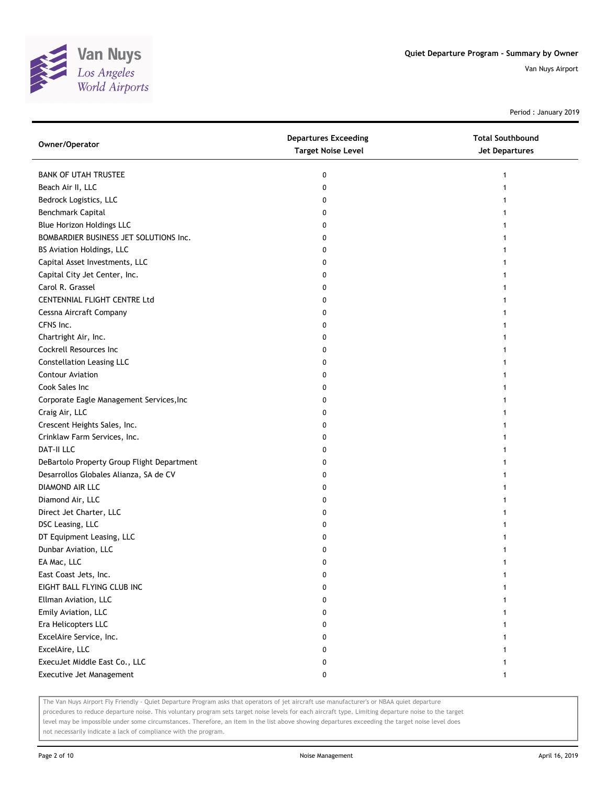

Period : January 2019

| Owner/Operator                             | <b>Departures Exceeding</b><br><b>Target Noise Level</b> | <b>Total Southbound</b><br>Jet Departures |
|--------------------------------------------|----------------------------------------------------------|-------------------------------------------|
| <b>BANK OF UTAH TRUSTEE</b>                | 0                                                        | 1                                         |
| Beach Air II, LLC                          | 0                                                        |                                           |
| Bedrock Logistics, LLC                     | 0                                                        |                                           |
| Benchmark Capital                          | 0                                                        |                                           |
| <b>Blue Horizon Holdings LLC</b>           | 0                                                        |                                           |
| BOMBARDIER BUSINESS JET SOLUTIONS Inc.     | 0                                                        |                                           |
| BS Aviation Holdings, LLC                  | 0                                                        |                                           |
| Capital Asset Investments, LLC             | 0                                                        |                                           |
| Capital City Jet Center, Inc.              | 0                                                        |                                           |
| Carol R. Grassel                           | 0                                                        |                                           |
| CENTENNIAL FLIGHT CENTRE Ltd               | 0                                                        |                                           |
| Cessna Aircraft Company                    | 0                                                        |                                           |
| CFNS Inc.                                  | 0                                                        |                                           |
| Chartright Air, Inc.                       | 0                                                        |                                           |
| Cockrell Resources Inc                     | 0                                                        | 1                                         |
| <b>Constellation Leasing LLC</b>           | 0                                                        |                                           |
| <b>Contour Aviation</b>                    | 0                                                        |                                           |
| Cook Sales Inc                             | 0                                                        |                                           |
| Corporate Eagle Management Services, Inc   | 0                                                        |                                           |
| Craig Air, LLC                             | 0                                                        |                                           |
| Crescent Heights Sales, Inc.               | 0                                                        |                                           |
| Crinklaw Farm Services, Inc.               | 0                                                        |                                           |
| <b>DAT-II LLC</b>                          | 0                                                        |                                           |
| DeBartolo Property Group Flight Department | 0                                                        |                                           |
| Desarrollos Globales Alianza, SA de CV     | 0                                                        |                                           |
| DIAMOND AIR LLC                            | 0                                                        |                                           |
| Diamond Air, LLC                           | 0                                                        |                                           |
| Direct Jet Charter, LLC                    | 0                                                        |                                           |
| DSC Leasing, LLC                           | 0                                                        |                                           |
| DT Equipment Leasing, LLC                  | 0                                                        |                                           |
| Dunbar Aviation, LLC                       | 0                                                        |                                           |
| EA Mac, LLC                                | 0                                                        |                                           |
| East Coast Jets, Inc.                      | 0                                                        |                                           |
| EIGHT BALL FLYING CLUB INC                 | 0                                                        |                                           |
| Ellman Aviation, LLC                       | 0                                                        |                                           |
| Emily Aviation, LLC                        | 0                                                        |                                           |
| Era Helicopters LLC                        | 0                                                        |                                           |
| ExcelAire Service, Inc.                    | 0                                                        |                                           |
| ExcelAire, LLC                             | 0                                                        |                                           |
| ExecuJet Middle East Co., LLC              | 0                                                        |                                           |
| Executive Jet Management                   | 0                                                        | 1                                         |

The Van Nuys Airport Fly Friendly - Quiet Departure Program asks that operators of jet aircraft use manufacturer's or NBAA quiet departure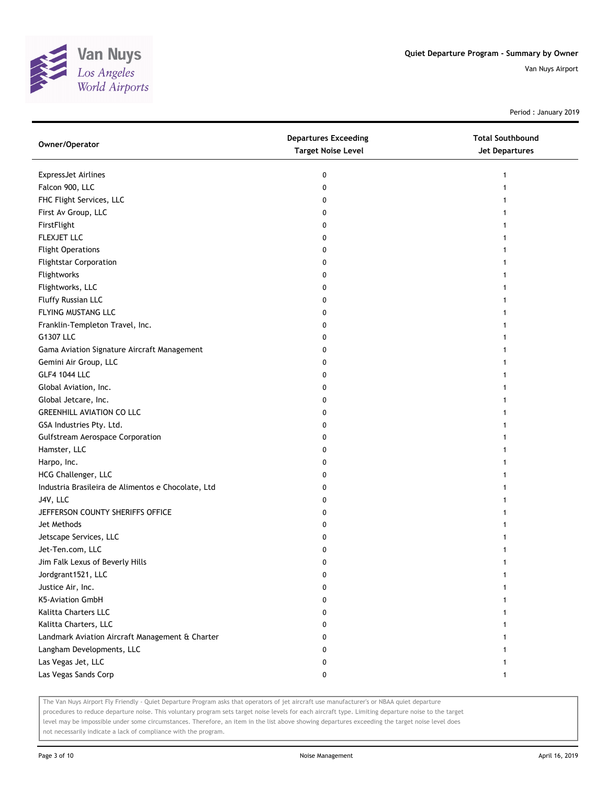

Period : January 2019

| Owner/Operator                                     | <b>Departures Exceeding</b><br><b>Target Noise Level</b> | <b>Total Southbound</b><br>Jet Departures |
|----------------------------------------------------|----------------------------------------------------------|-------------------------------------------|
| ExpressJet Airlines                                | 0                                                        | 1                                         |
| Falcon 900, LLC                                    | 0                                                        |                                           |
| FHC Flight Services, LLC                           | 0                                                        |                                           |
| First Av Group, LLC                                | 0                                                        |                                           |
| FirstFlight                                        | 0                                                        |                                           |
| FLEXJET LLC                                        | 0                                                        |                                           |
| <b>Flight Operations</b>                           | 0                                                        |                                           |
| <b>Flightstar Corporation</b>                      | 0                                                        |                                           |
| Flightworks                                        | 0                                                        |                                           |
| Flightworks, LLC                                   | 0                                                        |                                           |
| Fluffy Russian LLC                                 | 0                                                        |                                           |
| FLYING MUSTANG LLC                                 | 0                                                        |                                           |
| Franklin-Templeton Travel, Inc.                    | 0                                                        |                                           |
| G1307 LLC                                          | 0                                                        |                                           |
| Gama Aviation Signature Aircraft Management        | 0                                                        | 1                                         |
| Gemini Air Group, LLC                              | 0                                                        |                                           |
| <b>GLF4 1044 LLC</b>                               | 0                                                        |                                           |
| Global Aviation, Inc.                              | 0                                                        |                                           |
| Global Jetcare, Inc.                               | 0                                                        |                                           |
| <b>GREENHILL AVIATION CO LLC</b>                   | 0                                                        |                                           |
| GSA Industries Pty. Ltd.                           | 0                                                        |                                           |
| <b>Gulfstream Aerospace Corporation</b>            | 0                                                        |                                           |
| Hamster, LLC                                       | 0                                                        |                                           |
| Harpo, Inc.                                        | 0                                                        |                                           |
| HCG Challenger, LLC                                | 0                                                        | 1                                         |
| Industria Brasileira de Alimentos e Chocolate, Ltd | 0                                                        |                                           |
| J4V, LLC                                           | 0                                                        |                                           |
| JEFFERSON COUNTY SHERIFFS OFFICE                   | 0                                                        |                                           |
| Jet Methods                                        | 0                                                        |                                           |
| Jetscape Services, LLC                             | 0                                                        |                                           |
| Jet-Ten.com, LLC                                   | 0                                                        |                                           |
| Jim Falk Lexus of Beverly Hills                    | 0                                                        |                                           |
| Jordgrant1521, LLC                                 | 0                                                        |                                           |
| Justice Air, Inc.                                  | 0                                                        |                                           |
| K5-Aviation GmbH                                   | 0                                                        |                                           |
| Kalitta Charters LLC                               | 0                                                        |                                           |
| Kalitta Charters, LLC                              | 0                                                        |                                           |
| Landmark Aviation Aircraft Management & Charter    | 0                                                        |                                           |
| Langham Developments, LLC                          | 0                                                        |                                           |
| Las Vegas Jet, LLC                                 | 0                                                        |                                           |
| Las Vegas Sands Corp                               | 0                                                        | 1                                         |

The Van Nuys Airport Fly Friendly - Quiet Departure Program asks that operators of jet aircraft use manufacturer's or NBAA quiet departure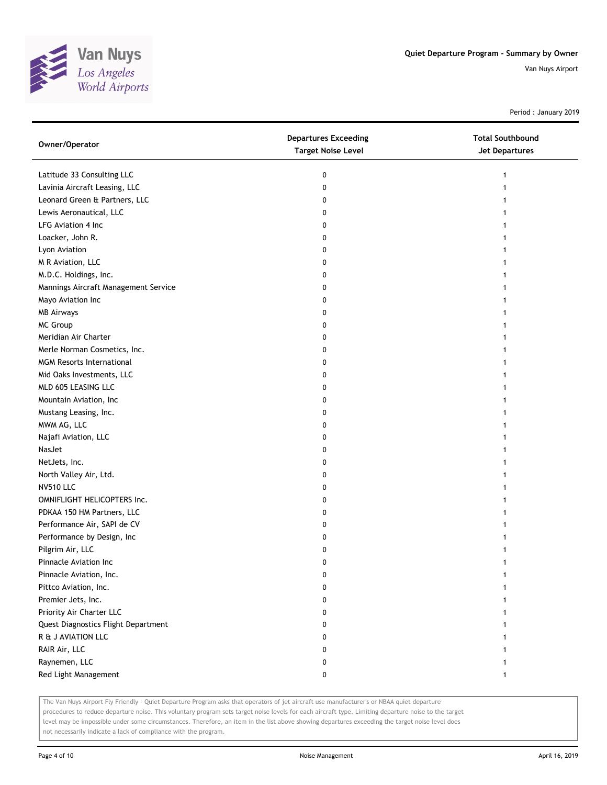

Period : January 2019

| Owner/Operator                       | <b>Departures Exceeding</b><br><b>Target Noise Level</b> | <b>Total Southbound</b><br><b>Jet Departures</b> |
|--------------------------------------|----------------------------------------------------------|--------------------------------------------------|
| Latitude 33 Consulting LLC           | 0                                                        | 1                                                |
| Lavinia Aircraft Leasing, LLC        | 0                                                        | 1                                                |
| Leonard Green & Partners, LLC        | 0                                                        |                                                  |
| Lewis Aeronautical, LLC              | 0                                                        |                                                  |
| LFG Aviation 4 Inc                   | 0                                                        |                                                  |
| Loacker, John R.                     | 0                                                        |                                                  |
| Lyon Aviation                        | 0                                                        |                                                  |
| M R Aviation, LLC                    | 0                                                        |                                                  |
| M.D.C. Holdings, Inc.                | 0                                                        |                                                  |
| Mannings Aircraft Management Service | 0                                                        |                                                  |
| Mayo Aviation Inc                    | 0                                                        |                                                  |
| <b>MB Airways</b>                    | 0                                                        |                                                  |
| <b>MC Group</b>                      | 0                                                        |                                                  |
| Meridian Air Charter                 | 0                                                        |                                                  |
| Merle Norman Cosmetics, Inc.         | 0                                                        |                                                  |
| <b>MGM Resorts International</b>     | 0                                                        |                                                  |
| Mid Oaks Investments, LLC            | 0                                                        |                                                  |
| MLD 605 LEASING LLC                  | 0                                                        |                                                  |
| Mountain Aviation, Inc               | 0                                                        |                                                  |
| Mustang Leasing, Inc.                | 0                                                        |                                                  |
| MWM AG, LLC                          | 0                                                        |                                                  |
| Najafi Aviation, LLC                 | 0                                                        |                                                  |
| NasJet                               | 0                                                        |                                                  |
| NetJets, Inc.                        | 0                                                        |                                                  |
| North Valley Air, Ltd.               | 0                                                        |                                                  |
| <b>NV510 LLC</b>                     | 0                                                        |                                                  |
| OMNIFLIGHT HELICOPTERS Inc.          | 0                                                        |                                                  |
| PDKAA 150 HM Partners, LLC           | 0                                                        |                                                  |
| Performance Air, SAPI de CV          | 0                                                        |                                                  |
| Performance by Design, Inc           | 0                                                        |                                                  |
| Pilgrim Air, LLC                     | 0                                                        |                                                  |
| Pinnacle Aviation Inc                | 0                                                        |                                                  |
| Pinnacle Aviation, Inc.              | 0                                                        |                                                  |
| Pittco Aviation, Inc.                | o                                                        |                                                  |
| Premier Jets, Inc.                   | 0                                                        |                                                  |
| Priority Air Charter LLC             | 0                                                        |                                                  |
| Quest Diagnostics Flight Department  | 0                                                        |                                                  |
| R & J AVIATION LLC                   | 0                                                        |                                                  |
| RAIR Air, LLC                        | 0                                                        |                                                  |
| Raynemen, LLC                        | 0                                                        |                                                  |
| Red Light Management                 | 0                                                        |                                                  |

The Van Nuys Airport Fly Friendly - Quiet Departure Program asks that operators of jet aircraft use manufacturer's or NBAA quiet departure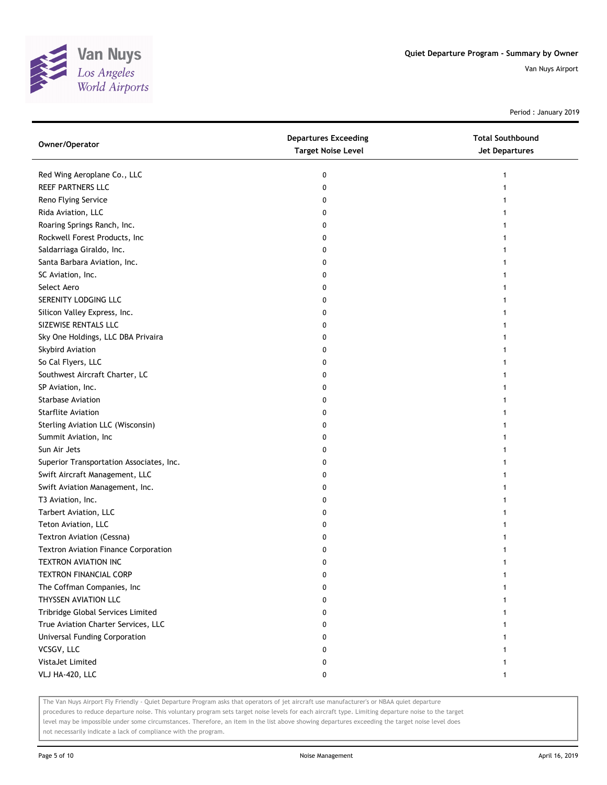

Period : January 2019

| Owner/Operator                              | <b>Departures Exceeding</b><br><b>Target Noise Level</b> | <b>Total Southbound</b><br><b>Jet Departures</b> |
|---------------------------------------------|----------------------------------------------------------|--------------------------------------------------|
| Red Wing Aeroplane Co., LLC                 | 0                                                        | 1                                                |
| REEF PARTNERS LLC                           | 0                                                        |                                                  |
| Reno Flying Service                         | 0                                                        |                                                  |
| Rida Aviation, LLC                          | 0                                                        |                                                  |
| Roaring Springs Ranch, Inc.                 | 0                                                        |                                                  |
| Rockwell Forest Products, Inc               | 0                                                        | 1                                                |
| Saldarriaga Giraldo, Inc.                   | 0                                                        |                                                  |
| Santa Barbara Aviation, Inc.                | 0                                                        |                                                  |
| SC Aviation, Inc.                           | 0                                                        |                                                  |
| Select Aero                                 | 0                                                        |                                                  |
| SERENITY LODGING LLC                        | 0                                                        |                                                  |
| Silicon Valley Express, Inc.                | 0                                                        |                                                  |
| SIZEWISE RENTALS LLC                        | 0                                                        |                                                  |
| Sky One Holdings, LLC DBA Privaira          | 0                                                        |                                                  |
| Skybird Aviation                            | 0                                                        |                                                  |
| So Cal Flyers, LLC                          | 0                                                        |                                                  |
| Southwest Aircraft Charter, LC              | 0                                                        |                                                  |
| SP Aviation, Inc.                           | 0                                                        |                                                  |
| <b>Starbase Aviation</b>                    | 0                                                        |                                                  |
| <b>Starflite Aviation</b>                   | 0                                                        |                                                  |
| Sterling Aviation LLC (Wisconsin)           | 0                                                        |                                                  |
| Summit Aviation, Inc                        | 0                                                        |                                                  |
| Sun Air Jets                                | 0                                                        |                                                  |
| Superior Transportation Associates, Inc.    | 0                                                        |                                                  |
| Swift Aircraft Management, LLC              | 0                                                        |                                                  |
| Swift Aviation Management, Inc.             | 0                                                        | 1                                                |
| T3 Aviation, Inc.                           | 0                                                        |                                                  |
| Tarbert Aviation, LLC                       | 0                                                        |                                                  |
| Teton Aviation, LLC                         | 0                                                        |                                                  |
| Textron Aviation (Cessna)                   | 0                                                        |                                                  |
| <b>Textron Aviation Finance Corporation</b> | 0                                                        |                                                  |
| TEXTRON AVIATION INC                        | 0                                                        |                                                  |
| <b>TEXTRON FINANCIAL CORP</b>               | 0                                                        |                                                  |
| The Coffman Companies, Inc                  | 0                                                        |                                                  |
| THYSSEN AVIATION LLC                        | 0                                                        |                                                  |
| Tribridge Global Services Limited           | 0                                                        |                                                  |
| True Aviation Charter Services, LLC         | 0                                                        |                                                  |
| Universal Funding Corporation               | 0                                                        |                                                  |
| VCSGV, LLC                                  | 0                                                        |                                                  |
| VistaJet Limited                            | 0                                                        |                                                  |
| VLJ HA-420, LLC                             | 0                                                        | 1                                                |

The Van Nuys Airport Fly Friendly - Quiet Departure Program asks that operators of jet aircraft use manufacturer's or NBAA quiet departure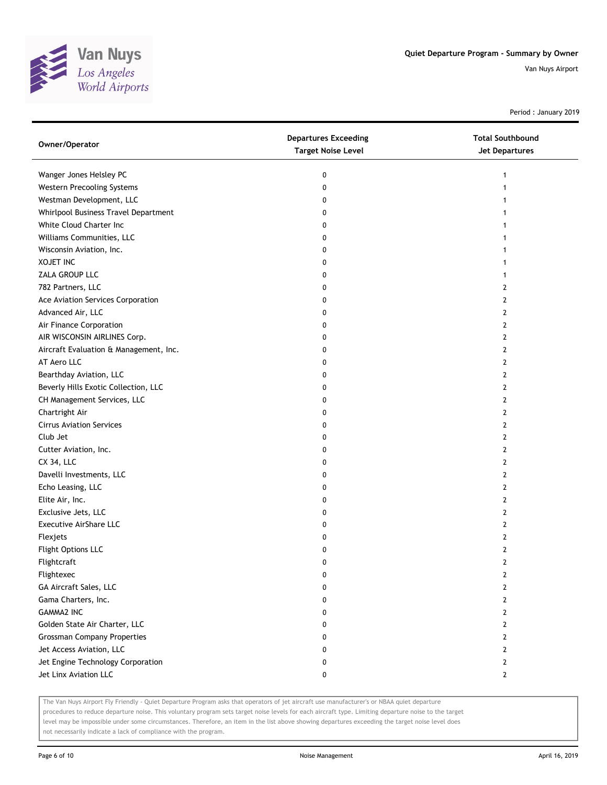

Period : January 2019

| Owner/Operator                         | <b>Departures Exceeding</b><br><b>Target Noise Level</b> | <b>Total Southbound</b><br>Jet Departures |
|----------------------------------------|----------------------------------------------------------|-------------------------------------------|
| Wanger Jones Helsley PC                | 0                                                        | 1                                         |
| Western Precooling Systems             | 0                                                        | 1                                         |
| Westman Development, LLC               | 0                                                        |                                           |
| Whirlpool Business Travel Department   | 0                                                        |                                           |
| White Cloud Charter Inc                | 0                                                        |                                           |
| Williams Communities, LLC              | 0                                                        | 1                                         |
| Wisconsin Aviation, Inc.               | 0                                                        |                                           |
| <b>XOJET INC</b>                       | 0                                                        |                                           |
| ZALA GROUP LLC                         | 0                                                        |                                           |
| 782 Partners, LLC                      | 0                                                        | 2                                         |
| Ace Aviation Services Corporation      | 0                                                        | 2                                         |
| Advanced Air, LLC                      | 0                                                        | 2                                         |
| Air Finance Corporation                | 0                                                        | 2                                         |
| AIR WISCONSIN AIRLINES Corp.           | 0                                                        | 2                                         |
| Aircraft Evaluation & Management, Inc. | 0                                                        | 2                                         |
| AT Aero LLC                            | 0                                                        | 2                                         |
| Bearthday Aviation, LLC                | 0                                                        | 2                                         |
| Beverly Hills Exotic Collection, LLC   | 0                                                        | 2                                         |
| CH Management Services, LLC            | 0                                                        | 2                                         |
| Chartright Air                         | 0                                                        | 2                                         |
| <b>Cirrus Aviation Services</b>        | 0                                                        | 2                                         |
| Club Jet                               | 0                                                        | 2                                         |
| Cutter Aviation, Inc.                  | 0                                                        | 2                                         |
| CX 34, LLC                             | 0                                                        | $\mathbf{2}$                              |
| Davelli Investments, LLC               | 0                                                        | 2                                         |
| Echo Leasing, LLC                      | 0                                                        | 2                                         |
| Elite Air, Inc.                        | 0                                                        | 2                                         |
| Exclusive Jets, LLC                    | 0                                                        | 2                                         |
| Executive AirShare LLC                 | 0                                                        | 2                                         |
| Flexjets                               | 0                                                        | 2                                         |
| Flight Options LLC                     | 0                                                        | 2                                         |
| Flightcraft                            | 0                                                        | $\mathbf{2}$                              |
| Flightexec                             | 0                                                        | 2                                         |
| GA Aircraft Sales, LLC                 | 0                                                        | 2                                         |
| Gama Charters, Inc.                    | 0                                                        | 2                                         |
| <b>GAMMA2 INC</b>                      | 0                                                        | 2                                         |
| Golden State Air Charter, LLC          | 0                                                        | 2                                         |
| <b>Grossman Company Properties</b>     | 0                                                        | 2                                         |
| Jet Access Aviation, LLC               | 0                                                        | $\overline{2}$                            |
| Jet Engine Technology Corporation      | 0                                                        | 2                                         |
| Jet Linx Aviation LLC                  | 0                                                        | $\mathbf{2}$                              |

The Van Nuys Airport Fly Friendly - Quiet Departure Program asks that operators of jet aircraft use manufacturer's or NBAA quiet departure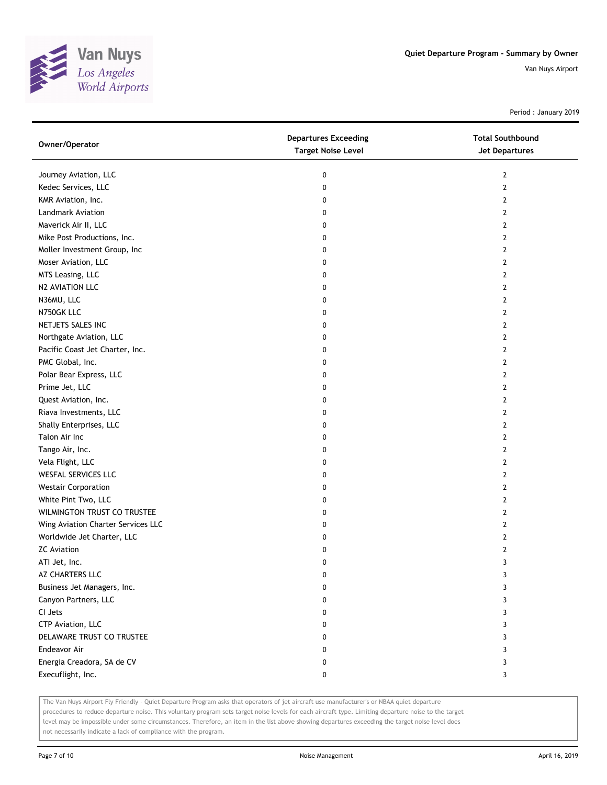

Period : January 2019

| Owner/Operator                     | <b>Departures Exceeding</b><br><b>Target Noise Level</b> | <b>Total Southbound</b><br>Jet Departures |
|------------------------------------|----------------------------------------------------------|-------------------------------------------|
| Journey Aviation, LLC              | 0                                                        | 2                                         |
| Kedec Services, LLC                | 0                                                        | $\mathbf{2}$                              |
| KMR Aviation, Inc.                 | 0                                                        | 2                                         |
| Landmark Aviation                  | 0                                                        | 2                                         |
| Maverick Air II, LLC               | 0                                                        | 2                                         |
| Mike Post Productions, Inc.        | 0                                                        | 2                                         |
| Moller Investment Group, Inc       | 0                                                        | 2                                         |
| Moser Aviation, LLC                | 0                                                        | 2                                         |
| MTS Leasing, LLC                   | 0                                                        | 2                                         |
| N2 AVIATION LLC                    | 0                                                        | 2                                         |
| N36MU, LLC                         | 0                                                        | 2                                         |
| N750GK LLC                         | 0                                                        | $\mathbf{2}$                              |
| NETJETS SALES INC                  | 0                                                        | 2                                         |
| Northgate Aviation, LLC            | 0                                                        | $\mathbf{2}$                              |
| Pacific Coast Jet Charter, Inc.    | 0                                                        | $\mathbf{2}$                              |
| PMC Global, Inc.                   | 0                                                        | $\mathbf{2}$                              |
| Polar Bear Express, LLC            | 0                                                        | $\mathbf{2}$                              |
| Prime Jet, LLC                     | 0                                                        | 2                                         |
| Quest Aviation, Inc.               | 0                                                        | 2                                         |
| Riava Investments, LLC             | 0                                                        | 2                                         |
| Shally Enterprises, LLC            | 0                                                        | $\mathbf{2}$                              |
| Talon Air Inc                      | 0                                                        | $\mathbf{2}$                              |
| Tango Air, Inc.                    | 0                                                        | 2                                         |
| Vela Flight, LLC                   | 0                                                        | 2                                         |
| WESFAL SERVICES LLC                | 0                                                        | 2                                         |
| <b>Westair Corporation</b>         | 0                                                        | 2                                         |
| White Pint Two, LLC                | 0                                                        | $\mathbf{2}$                              |
| WILMINGTON TRUST CO TRUSTEE        | 0                                                        | 2                                         |
| Wing Aviation Charter Services LLC | 0                                                        | 2                                         |
| Worldwide Jet Charter, LLC         | 0                                                        | 2                                         |
| <b>ZC</b> Aviation                 | 0                                                        | 2                                         |
| ATI Jet, Inc.                      | 0                                                        | 3                                         |
| AZ CHARTERS LLC                    | 0                                                        | 3                                         |
| Business Jet Managers, Inc.        | 0                                                        | 3                                         |
| Canyon Partners, LLC               | 0                                                        | 3                                         |
| CI Jets                            | 0                                                        | 3                                         |
| CTP Aviation, LLC                  | 0                                                        | 3                                         |
| DELAWARE TRUST CO TRUSTEE          | 0                                                        | 3                                         |
| Endeavor Air                       | 0                                                        | 3                                         |
| Energia Creadora, SA de CV         | 0                                                        | 3                                         |
| Execuflight, Inc.                  | 0                                                        | 3                                         |

The Van Nuys Airport Fly Friendly - Quiet Departure Program asks that operators of jet aircraft use manufacturer's or NBAA quiet departure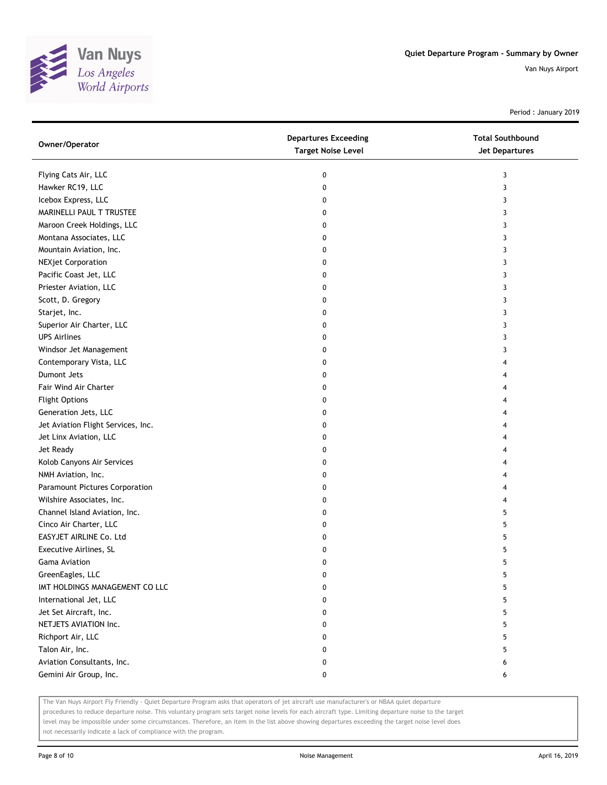

Period : January 2019

| Owner/Operator                     | <b>Departures Exceeding</b><br><b>Target Noise Level</b> | <b>Total Southbound</b><br>Jet Departures |
|------------------------------------|----------------------------------------------------------|-------------------------------------------|
| Flying Cats Air, LLC               | 0                                                        | 3                                         |
| Hawker RC19, LLC                   | 0                                                        | 3                                         |
| Icebox Express, LLC                | 0                                                        | 3                                         |
| MARINELLI PAUL T TRUSTEE           | 0                                                        | 3                                         |
| Maroon Creek Holdings, LLC         | 0                                                        | 3                                         |
| Montana Associates, LLC            | 0                                                        | 3                                         |
| Mountain Aviation, Inc.            | 0                                                        | 3                                         |
| <b>NEXjet Corporation</b>          | 0                                                        | 3                                         |
| Pacific Coast Jet, LLC             | 0                                                        | 3                                         |
| Priester Aviation, LLC             | 0                                                        | 3                                         |
| Scott, D. Gregory                  | 0                                                        | 3                                         |
| Starjet, Inc.                      | 0                                                        | 3                                         |
| Superior Air Charter, LLC          | 0                                                        | 3                                         |
| <b>UPS Airlines</b>                | 0                                                        | 3                                         |
| Windsor Jet Management             | 0                                                        | 3                                         |
| Contemporary Vista, LLC            | 0                                                        | 4                                         |
| Dumont Jets                        | 0                                                        | 4                                         |
| <b>Fair Wind Air Charter</b>       | 0                                                        | 4                                         |
| <b>Flight Options</b>              | 0                                                        |                                           |
| Generation Jets, LLC               | 0                                                        | 4                                         |
| Jet Aviation Flight Services, Inc. | 0                                                        | 4                                         |
| Jet Linx Aviation, LLC             | 0                                                        | 4                                         |
| Jet Ready                          | 0                                                        |                                           |
| Kolob Canyons Air Services         | 0                                                        |                                           |
| NMH Aviation, Inc.                 | 0                                                        | 4                                         |
| Paramount Pictures Corporation     | 0                                                        | 4                                         |
| Wilshire Associates, Inc.          | 0                                                        | 4                                         |
| Channel Island Aviation, Inc.      | 0                                                        | 5                                         |
| Cinco Air Charter, LLC             | 0                                                        | 5                                         |
| EASYJET AIRLINE Co. Ltd            | 0                                                        | 5                                         |
| Executive Airlines, SL             | 0                                                        | 5                                         |
| <b>Gama Aviation</b>               | 0                                                        | 5                                         |
| GreenEagles, LLC                   | 0                                                        | 5                                         |
| IMT HOLDINGS MANAGEMENT CO LLC     | 0                                                        | 5                                         |
| International Jet, LLC             | 0                                                        | 5                                         |
| Jet Set Aircraft, Inc.             | 0                                                        | 5                                         |
| NETJETS AVIATION Inc.              | 0                                                        | 5                                         |
| Richport Air, LLC                  | 0                                                        | 5                                         |
| Talon Air, Inc.                    | 0                                                        | 5                                         |
| Aviation Consultants, Inc.         | 0                                                        | 6                                         |
| Gemini Air Group, Inc.             | 0                                                        | 6                                         |

The Van Nuys Airport Fly Friendly - Quiet Departure Program asks that operators of jet aircraft use manufacturer's or NBAA quiet departure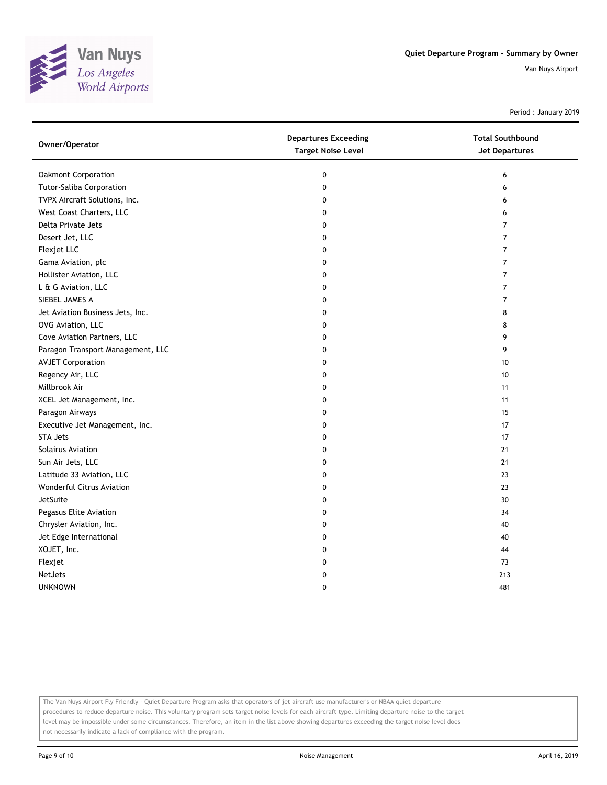

Period : January 2019

| Owner/Operator                    | <b>Departures Exceeding</b> | <b>Total Southbound</b> |
|-----------------------------------|-----------------------------|-------------------------|
|                                   | <b>Target Noise Level</b>   | Jet Departures          |
| Oakmont Corporation               | 0                           | 6                       |
| Tutor-Saliba Corporation          | 0                           | 6                       |
| TVPX Aircraft Solutions, Inc.     | 0                           | 6                       |
| West Coast Charters, LLC          | $\mathbf 0$                 | 6                       |
| Delta Private Jets                | 0                           | $\overline{7}$          |
| Desert Jet, LLC                   | $\mathbf{0}$                | $\overline{7}$          |
| Flexjet LLC                       | $\mathbf{0}$                | $\overline{7}$          |
| Gama Aviation, plc                | 0                           | $\overline{7}$          |
| Hollister Aviation, LLC           | 0                           | $\overline{7}$          |
| L & G Aviation, LLC               | 0                           | 7                       |
| SIEBEL JAMES A                    | 0                           | $\overline{7}$          |
| Jet Aviation Business Jets, Inc.  | 0                           | 8                       |
| OVG Aviation, LLC                 | 0                           | 8                       |
| Cove Aviation Partners, LLC       | 0                           | 9                       |
| Paragon Transport Management, LLC | 0                           | 9                       |
| <b>AVJET Corporation</b>          | 0                           | 10                      |
| Regency Air, LLC                  | 0                           | 10                      |
| Millbrook Air                     | 0                           | 11                      |
| XCEL Jet Management, Inc.         | 0                           | 11                      |
| Paragon Airways                   | 0                           | 15                      |
| Executive Jet Management, Inc.    | 0                           | 17                      |
| <b>STA Jets</b>                   | 0                           | 17                      |
| Solairus Aviation                 | 0                           | 21                      |
| Sun Air Jets, LLC                 | 0                           | 21                      |
| Latitude 33 Aviation, LLC         | 0                           | 23                      |
| Wonderful Citrus Aviation         | 0                           | 23                      |
| JetSuite                          | 0                           | 30                      |
| Pegasus Elite Aviation            | 0                           | 34                      |
| Chrysler Aviation, Inc.           | 0                           | 40                      |
| Jet Edge International            | 0                           | 40                      |
| XOJET, Inc.                       | 0                           | 44                      |
| Flexjet                           | 0                           | 73                      |
| NetJets                           | 0                           | 213                     |
| <b>UNKNOWN</b>                    | 0                           | 481                     |
|                                   |                             |                         |

The Van Nuys Airport Fly Friendly - Quiet Departure Program asks that operators of jet aircraft use manufacturer's or NBAA quiet departure